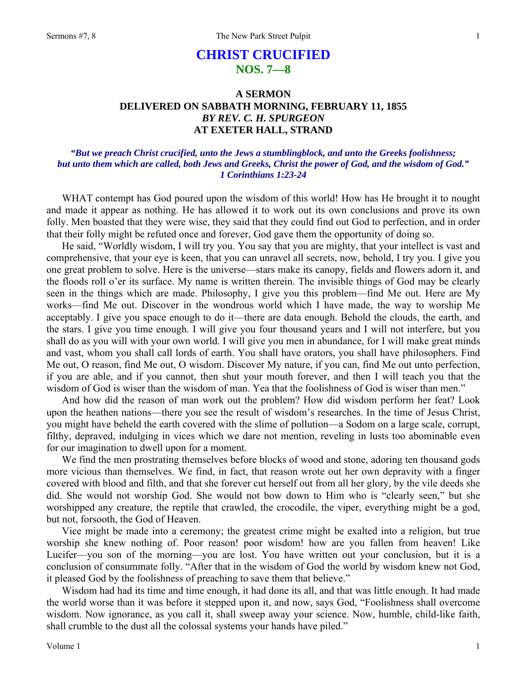# **CHRIST CRUCIFIED NOS. 7—8**

## **A SERMON DELIVERED ON SABBATH MORNING, FEBRUARY 11, 1855**  *BY REV. C. H. SPURGEON*  **AT EXETER HALL, STRAND**

## *"But we preach Christ crucified, unto the Jews a stumblingblock, and unto the Greeks foolishness; but unto them which are called, both Jews and Greeks, Christ the power of God, and the wisdom of God." 1 Corinthians 1:23-24*

WHAT contempt has God poured upon the wisdom of this world! How has He brought it to nought and made it appear as nothing. He has allowed it to work out its own conclusions and prove its own folly. Men boasted that they were wise, they said that they could find out God to perfection, and in order that their folly might be refuted once and forever, God gave them the opportunity of doing so.

He said, "Worldly wisdom, I will try you. You say that you are mighty, that your intellect is vast and comprehensive, that your eye is keen, that you can unravel all secrets, now, behold, I try you. I give you one great problem to solve. Here is the universe—stars make its canopy, fields and flowers adorn it, and the floods roll o'er its surface. My name is written therein. The invisible things of God may be clearly seen in the things which are made. Philosophy, I give you this problem—find Me out. Here are My works—find Me out. Discover in the wondrous world which I have made, the way to worship Me acceptably. I give you space enough to do it—there are data enough. Behold the clouds, the earth, and the stars. I give you time enough. I will give you four thousand years and I will not interfere, but you shall do as you will with your own world. I will give you men in abundance, for I will make great minds and vast, whom you shall call lords of earth. You shall have orators, you shall have philosophers. Find Me out, O reason, find Me out, O wisdom. Discover My nature, if you can, find Me out unto perfection, if you are able, and if you cannot, then shut your mouth forever, and then I will teach you that the wisdom of God is wiser than the wisdom of man. Yea that the foolishness of God is wiser than men."

And how did the reason of man work out the problem? How did wisdom perform her feat? Look upon the heathen nations—there you see the result of wisdom's researches. In the time of Jesus Christ, you might have beheld the earth covered with the slime of pollution—a Sodom on a large scale, corrupt, filthy, depraved, indulging in vices which we dare not mention, reveling in lusts too abominable even for our imagination to dwell upon for a moment.

We find the men prostrating themselves before blocks of wood and stone, adoring ten thousand gods more vicious than themselves. We find, in fact, that reason wrote out her own depravity with a finger covered with blood and filth, and that she forever cut herself out from all her glory, by the vile deeds she did. She would not worship God. She would not bow down to Him who is "clearly seen," but she worshipped any creature, the reptile that crawled, the crocodile, the viper, everything might be a god, but not, forsooth, the God of Heaven.

Vice might be made into a ceremony; the greatest crime might be exalted into a religion, but true worship she knew nothing of. Poor reason! poor wisdom! how are you fallen from heaven! Like Lucifer—you son of the morning—you are lost. You have written out your conclusion, but it is a conclusion of consummate folly. "After that in the wisdom of God the world by wisdom knew not God, it pleased God by the foolishness of preaching to save them that believe."

Wisdom had had its time and time enough, it had done its all, and that was little enough. It had made the world worse than it was before it stepped upon it, and now, says God, "Foolishness shall overcome wisdom. Now ignorance, as you call it, shall sweep away your science. Now, humble, child-like faith, shall crumble to the dust all the colossal systems your hands have piled."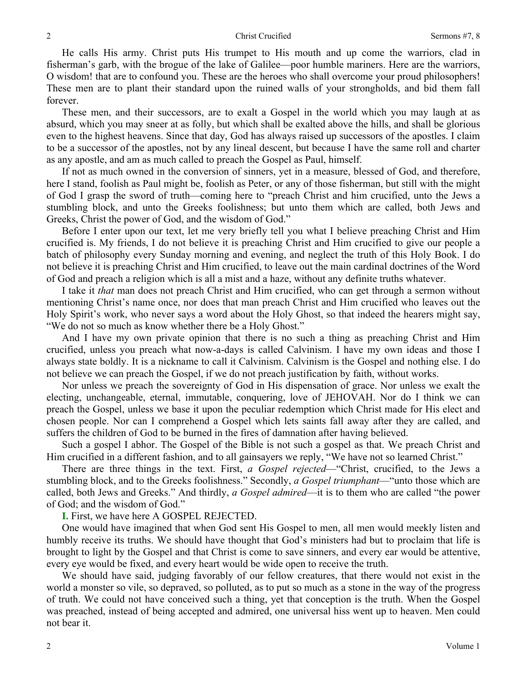He calls His army. Christ puts His trumpet to His mouth and up come the warriors, clad in fisherman's garb, with the brogue of the lake of Galilee—poor humble mariners. Here are the warriors, O wisdom! that are to confound you. These are the heroes who shall overcome your proud philosophers! These men are to plant their standard upon the ruined walls of your strongholds, and bid them fall forever.

These men, and their successors, are to exalt a Gospel in the world which you may laugh at as absurd, which you may sneer at as folly, but which shall be exalted above the hills, and shall be glorious even to the highest heavens. Since that day, God has always raised up successors of the apostles. I claim to be a successor of the apostles, not by any lineal descent, but because I have the same roll and charter as any apostle, and am as much called to preach the Gospel as Paul, himself.

If not as much owned in the conversion of sinners, yet in a measure, blessed of God, and therefore, here I stand, foolish as Paul might be, foolish as Peter, or any of those fisherman, but still with the might of God I grasp the sword of truth—coming here to "preach Christ and him crucified, unto the Jews a stumbling block, and unto the Greeks foolishness; but unto them which are called, both Jews and Greeks, Christ the power of God, and the wisdom of God."

Before I enter upon our text, let me very briefly tell you what I believe preaching Christ and Him crucified is. My friends, I do not believe it is preaching Christ and Him crucified to give our people a batch of philosophy every Sunday morning and evening, and neglect the truth of this Holy Book. I do not believe it is preaching Christ and Him crucified, to leave out the main cardinal doctrines of the Word of God and preach a religion which is all a mist and a haze, without any definite truths whatever.

I take it *that* man does not preach Christ and Him crucified, who can get through a sermon without mentioning Christ's name once, nor does that man preach Christ and Him crucified who leaves out the Holy Spirit's work, who never says a word about the Holy Ghost, so that indeed the hearers might say, "We do not so much as know whether there be a Holy Ghost."

And I have my own private opinion that there is no such a thing as preaching Christ and Him crucified, unless you preach what now-a-days is called Calvinism. I have my own ideas and those I always state boldly. It is a nickname to call it Calvinism. Calvinism is the Gospel and nothing else. I do not believe we can preach the Gospel, if we do not preach justification by faith, without works.

Nor unless we preach the sovereignty of God in His dispensation of grace. Nor unless we exalt the electing, unchangeable, eternal, immutable, conquering, love of JEHOVAH. Nor do I think we can preach the Gospel, unless we base it upon the peculiar redemption which Christ made for His elect and chosen people. Nor can I comprehend a Gospel which lets saints fall away after they are called, and suffers the children of God to be burned in the fires of damnation after having believed.

Such a gospel I abhor. The Gospel of the Bible is not such a gospel as that. We preach Christ and Him crucified in a different fashion, and to all gainsayers we reply, "We have not so learned Christ."

There are three things in the text. First, *a Gospel rejected*—"Christ, crucified, to the Jews a stumbling block, and to the Greeks foolishness." Secondly, *a Gospel triumphant*—"unto those which are called, both Jews and Greeks." And thirdly, *a Gospel admired*—it is to them who are called "the power of God; and the wisdom of God."

**I.** First, we have here A GOSPEL REJECTED.

One would have imagined that when God sent His Gospel to men, all men would meekly listen and humbly receive its truths. We should have thought that God's ministers had but to proclaim that life is brought to light by the Gospel and that Christ is come to save sinners, and every ear would be attentive, every eye would be fixed, and every heart would be wide open to receive the truth.

We should have said, judging favorably of our fellow creatures, that there would not exist in the world a monster so vile, so depraved, so polluted, as to put so much as a stone in the way of the progress of truth. We could not have conceived such a thing, yet that conception is the truth. When the Gospel was preached, instead of being accepted and admired, one universal hiss went up to heaven. Men could not bear it.

2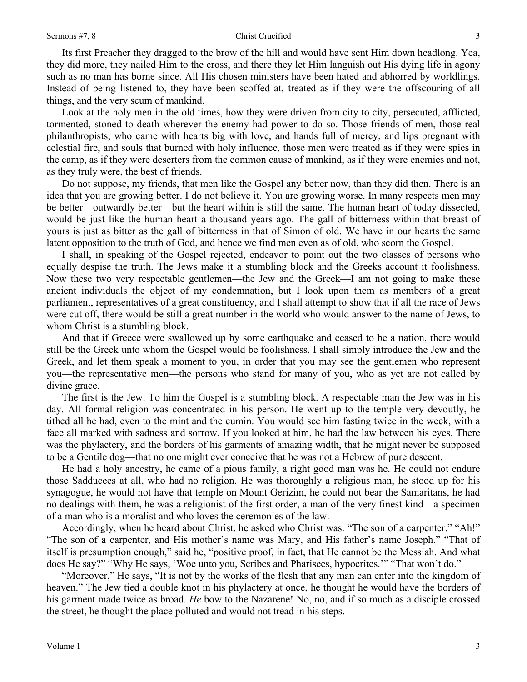Its first Preacher they dragged to the brow of the hill and would have sent Him down headlong. Yea, they did more, they nailed Him to the cross, and there they let Him languish out His dying life in agony such as no man has borne since. All His chosen ministers have been hated and abhorred by worldlings. Instead of being listened to, they have been scoffed at, treated as if they were the offscouring of all things, and the very scum of mankind.

Look at the holy men in the old times, how they were driven from city to city, persecuted, afflicted, tormented, stoned to death wherever the enemy had power to do so. Those friends of men, those real philanthropists, who came with hearts big with love, and hands full of mercy, and lips pregnant with celestial fire, and souls that burned with holy influence, those men were treated as if they were spies in the camp, as if they were deserters from the common cause of mankind, as if they were enemies and not, as they truly were, the best of friends.

Do not suppose, my friends, that men like the Gospel any better now, than they did then. There is an idea that you are growing better. I do not believe it. You are growing worse. In many respects men may be better—outwardly better—but the heart within is still the same. The human heart of today dissected, would be just like the human heart a thousand years ago. The gall of bitterness within that breast of yours is just as bitter as the gall of bitterness in that of Simon of old. We have in our hearts the same latent opposition to the truth of God, and hence we find men even as of old, who scorn the Gospel.

I shall, in speaking of the Gospel rejected, endeavor to point out the two classes of persons who equally despise the truth. The Jews make it a stumbling block and the Greeks account it foolishness. Now these two very respectable gentlemen—the Jew and the Greek—I am not going to make these ancient individuals the object of my condemnation, but I look upon them as members of a great parliament, representatives of a great constituency, and I shall attempt to show that if all the race of Jews were cut off, there would be still a great number in the world who would answer to the name of Jews, to whom Christ is a stumbling block.

And that if Greece were swallowed up by some earthquake and ceased to be a nation, there would still be the Greek unto whom the Gospel would be foolishness. I shall simply introduce the Jew and the Greek, and let them speak a moment to you, in order that you may see the gentlemen who represent you—the representative men—the persons who stand for many of you, who as yet are not called by divine grace.

The first is the Jew. To him the Gospel is a stumbling block. A respectable man the Jew was in his day. All formal religion was concentrated in his person. He went up to the temple very devoutly, he tithed all he had, even to the mint and the cumin. You would see him fasting twice in the week, with a face all marked with sadness and sorrow. If you looked at him, he had the law between his eyes. There was the phylactery, and the borders of his garments of amazing width, that he might never be supposed to be a Gentile dog—that no one might ever conceive that he was not a Hebrew of pure descent.

He had a holy ancestry, he came of a pious family, a right good man was he. He could not endure those Sadducees at all, who had no religion. He was thoroughly a religious man, he stood up for his synagogue, he would not have that temple on Mount Gerizim, he could not bear the Samaritans, he had no dealings with them, he was a religionist of the first order, a man of the very finest kind—a specimen of a man who is a moralist and who loves the ceremonies of the law.

Accordingly, when he heard about Christ, he asked who Christ was. "The son of a carpenter." "Ah!" "The son of a carpenter, and His mother's name was Mary, and His father's name Joseph." "That of itself is presumption enough," said he, "positive proof, in fact, that He cannot be the Messiah. And what does He say?" "Why He says, 'Woe unto you, Scribes and Pharisees, hypocrites.'" "That won't do."

"Moreover," He says, "It is not by the works of the flesh that any man can enter into the kingdom of heaven." The Jew tied a double knot in his phylactery at once, he thought he would have the borders of his garment made twice as broad. *He* bow to the Nazarene! No, no, and if so much as a disciple crossed the street, he thought the place polluted and would not tread in his steps.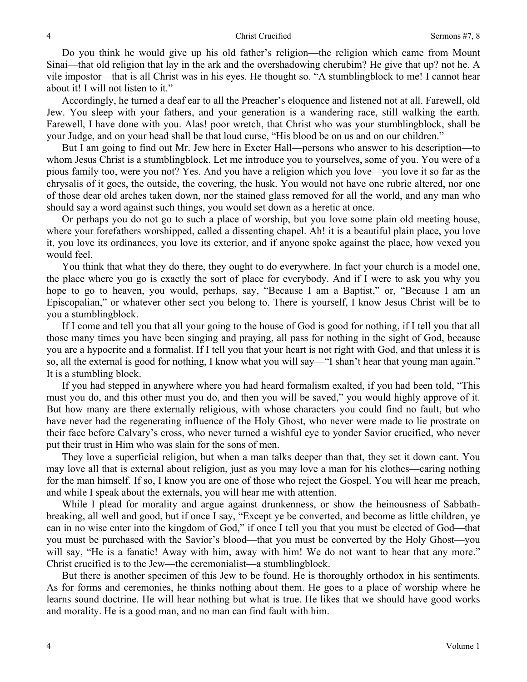Do you think he would give up his old father's religion—the religion which came from Mount Sinai—that old religion that lay in the ark and the overshadowing cherubim? He give that up? not he. A vile impostor—that is all Christ was in his eyes. He thought so. "A stumblingblock to me! I cannot hear about it! I will not listen to it."

Accordingly, he turned a deaf ear to all the Preacher's eloquence and listened not at all. Farewell, old Jew. You sleep with your fathers, and your generation is a wandering race, still walking the earth. Farewell, I have done with you. Alas! poor wretch, that Christ who was your stumblingblock, shall be your Judge, and on your head shall be that loud curse, "His blood be on us and on our children."

But I am going to find out Mr. Jew here in Exeter Hall—persons who answer to his description—to whom Jesus Christ is a stumblingblock. Let me introduce you to yourselves, some of you. You were of a pious family too, were you not? Yes. And you have a religion which you love—you love it so far as the chrysalis of it goes, the outside, the covering, the husk. You would not have one rubric altered, nor one of those dear old arches taken down, nor the stained glass removed for all the world, and any man who should say a word against such things, you would set down as a heretic at once.

Or perhaps you do not go to such a place of worship, but you love some plain old meeting house, where your forefathers worshipped, called a dissenting chapel. Ah! it is a beautiful plain place, you love it, you love its ordinances, you love its exterior, and if anyone spoke against the place, how vexed you would feel.

You think that what they do there, they ought to do everywhere. In fact your church is a model one, the place where you go is exactly the sort of place for everybody. And if I were to ask you why you hope to go to heaven, you would, perhaps, say, "Because I am a Baptist," or, "Because I am an Episcopalian," or whatever other sect you belong to. There is yourself, I know Jesus Christ will be to you a stumblingblock.

If I come and tell you that all your going to the house of God is good for nothing, if I tell you that all those many times you have been singing and praying, all pass for nothing in the sight of God, because you are a hypocrite and a formalist. If I tell you that your heart is not right with God, and that unless it is so, all the external is good for nothing, I know what you will say—"I shan't hear that young man again." It is a stumbling block.

If you had stepped in anywhere where you had heard formalism exalted, if you had been told, "This must you do, and this other must you do, and then you will be saved," you would highly approve of it. But how many are there externally religious, with whose characters you could find no fault, but who have never had the regenerating influence of the Holy Ghost, who never were made to lie prostrate on their face before Calvary's cross, who never turned a wishful eye to yonder Savior crucified, who never put their trust in Him who was slain for the sons of men.

They love a superficial religion, but when a man talks deeper than that, they set it down cant. You may love all that is external about religion, just as you may love a man for his clothes—caring nothing for the man himself. If so, I know you are one of those who reject the Gospel. You will hear me preach, and while I speak about the externals, you will hear me with attention.

While I plead for morality and argue against drunkenness, or show the heinousness of Sabbathbreaking, all well and good, but if once I say, "Except ye be converted, and become as little children, ye can in no wise enter into the kingdom of God," if once I tell you that you must be elected of God—that you must be purchased with the Savior's blood—that you must be converted by the Holy Ghost—you will say, "He is a fanatic! Away with him, away with him! We do not want to hear that any more." Christ crucified is to the Jew—the ceremonialist—a stumblingblock.

But there is another specimen of this Jew to be found. He is thoroughly orthodox in his sentiments. As for forms and ceremonies, he thinks nothing about them. He goes to a place of worship where he learns sound doctrine. He will hear nothing but what is true. He likes that we should have good works and morality. He is a good man, and no man can find fault with him.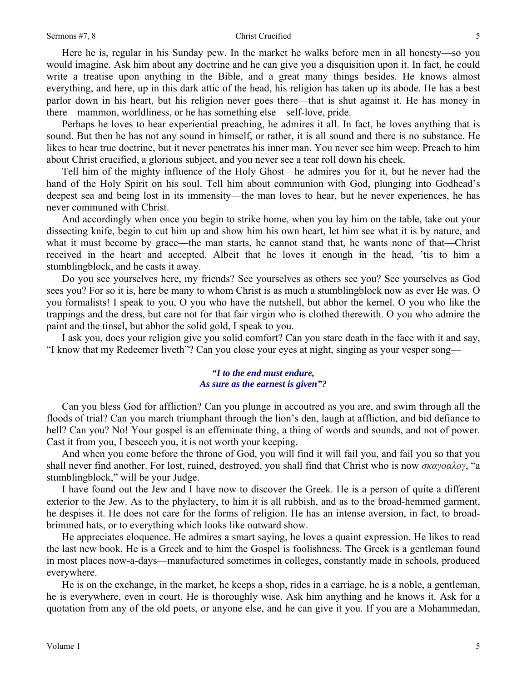Here he is, regular in his Sunday pew. In the market he walks before men in all honesty—so you would imagine. Ask him about any doctrine and he can give you a disquisition upon it. In fact, he could write a treatise upon anything in the Bible, and a great many things besides. He knows almost everything, and here, up in this dark attic of the head, his religion has taken up its abode. He has a best parlor down in his heart, but his religion never goes there—that is shut against it. He has money in there—mammon, worldliness, or he has something else—self-love, pride.

Perhaps he loves to hear experiential preaching, he admires it all. In fact, he loves anything that is sound. But then he has not any sound in himself, or rather, it is all sound and there is no substance. He likes to hear true doctrine, but it never penetrates his inner man. You never see him weep. Preach to him about Christ crucified, a glorious subject, and you never see a tear roll down his cheek.

Tell him of the mighty influence of the Holy Ghost—he admires you for it, but he never had the hand of the Holy Spirit on his soul. Tell him about communion with God, plunging into Godhead's deepest sea and being lost in its immensity—the man loves to hear, but he never experiences, he has never communed with Christ.

And accordingly when once you begin to strike home, when you lay him on the table, take out your dissecting knife, begin to cut him up and show him his own heart, let him see what it is by nature, and what it must become by grace—the man starts, he cannot stand that, he wants none of that—Christ received in the heart and accepted. Albeit that he loves it enough in the head, 'tis to him a stumblingblock, and he casts it away.

Do you see yourselves here, my friends? See yourselves as others see you? See yourselves as God sees you? For so it is, here be many to whom Christ is as much a stumblingblock now as ever He was. O you formalists! I speak to you, O you who have the nutshell, but abhor the kernel. O you who like the trappings and the dress, but care not for that fair virgin who is clothed therewith. O you who admire the paint and the tinsel, but abhor the solid gold, I speak to you.

I ask you, does your religion give you solid comfort? Can you stare death in the face with it and say, "I know that my Redeemer liveth"? Can you close your eyes at night, singing as your vesper song—

## *"I to the end must endure, As sure as the earnest is given"?*

Can you bless God for affliction? Can you plunge in accoutred as you are, and swim through all the floods of trial? Can you march triumphant through the lion's den, laugh at affliction, and bid defiance to hell? Can you? No! Your gospel is an effeminate thing, a thing of words and sounds, and not of power. Cast it from you, I beseech you, it is not worth your keeping.

And when you come before the throne of God, you will find it will fail you, and fail you so that you shall never find another. For lost, ruined, destroyed, you shall find that Christ who is now *σκαγοαλογ*, "a stumblingblock," will be your Judge.

I have found out the Jew and I have now to discover the Greek. He is a person of quite a different exterior to the Jew. As to the phylactery, to him it is all rubbish, and as to the broad-hemmed garment, he despises it. He does not care for the forms of religion. He has an intense aversion, in fact, to broadbrimmed hats, or to everything which looks like outward show.

He appreciates eloquence. He admires a smart saying, he loves a quaint expression. He likes to read the last new book. He is a Greek and to him the Gospel is foolishness. The Greek is a gentleman found in most places now-a-days—manufactured sometimes in colleges, constantly made in schools, produced everywhere.

He is on the exchange, in the market, he keeps a shop, rides in a carriage, he is a noble, a gentleman, he is everywhere, even in court. He is thoroughly wise. Ask him anything and he knows it. Ask for a quotation from any of the old poets, or anyone else, and he can give it you. If you are a Mohammedan,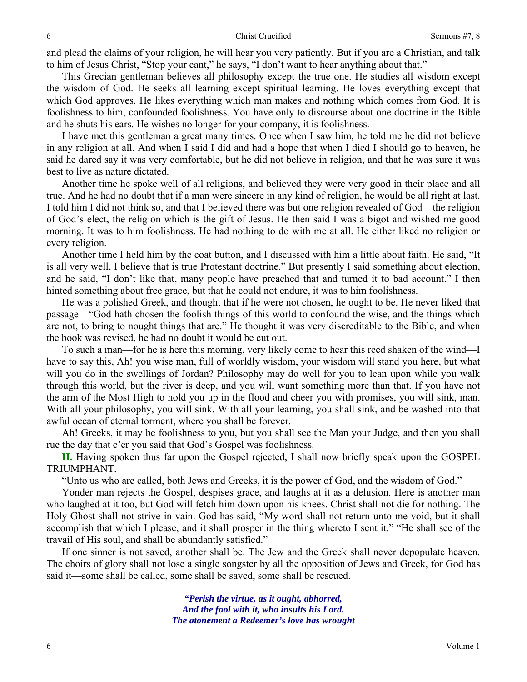and plead the claims of your religion, he will hear you very patiently. But if you are a Christian, and talk to him of Jesus Christ, "Stop your cant," he says, "I don't want to hear anything about that."

This Grecian gentleman believes all philosophy except the true one. He studies all wisdom except the wisdom of God. He seeks all learning except spiritual learning. He loves everything except that which God approves. He likes everything which man makes and nothing which comes from God. It is foolishness to him, confounded foolishness. You have only to discourse about one doctrine in the Bible and he shuts his ears. He wishes no longer for your company, it is foolishness.

I have met this gentleman a great many times. Once when I saw him, he told me he did not believe in any religion at all. And when I said I did and had a hope that when I died I should go to heaven, he said he dared say it was very comfortable, but he did not believe in religion, and that he was sure it was best to live as nature dictated.

Another time he spoke well of all religions, and believed they were very good in their place and all true. And he had no doubt that if a man were sincere in any kind of religion, he would be all right at last. I told him I did not think so, and that I believed there was but one religion revealed of God—the religion of God's elect, the religion which is the gift of Jesus. He then said I was a bigot and wished me good morning. It was to him foolishness. He had nothing to do with me at all. He either liked no religion or every religion.

Another time I held him by the coat button, and I discussed with him a little about faith. He said, "It is all very well, I believe that is true Protestant doctrine." But presently I said something about election, and he said, "I don't like that, many people have preached that and turned it to bad account." I then hinted something about free grace, but that he could not endure, it was to him foolishness.

He was a polished Greek, and thought that if he were not chosen, he ought to be. He never liked that passage—"God hath chosen the foolish things of this world to confound the wise, and the things which are not, to bring to nought things that are." He thought it was very discreditable to the Bible, and when the book was revised, he had no doubt it would be cut out.

To such a man—for he is here this morning, very likely come to hear this reed shaken of the wind—I have to say this, Ah! you wise man, full of worldly wisdom, your wisdom will stand you here, but what will you do in the swellings of Jordan? Philosophy may do well for you to lean upon while you walk through this world, but the river is deep, and you will want something more than that. If you have not the arm of the Most High to hold you up in the flood and cheer you with promises, you will sink, man. With all your philosophy, you will sink. With all your learning, you shall sink, and be washed into that awful ocean of eternal torment, where you shall be forever.

Ah! Greeks, it may be foolishness to you, but you shall see the Man your Judge, and then you shall rue the day that e'er you said that God's Gospel was foolishness.

**II.** Having spoken thus far upon the Gospel rejected, I shall now briefly speak upon the GOSPEL TRIUMPHANT.

"Unto us who are called, both Jews and Greeks, it is the power of God, and the wisdom of God."

Yonder man rejects the Gospel, despises grace, and laughs at it as a delusion. Here is another man who laughed at it too, but God will fetch him down upon his knees. Christ shall not die for nothing. The Holy Ghost shall not strive in vain. God has said, "My word shall not return unto me void, but it shall accomplish that which I please, and it shall prosper in the thing whereto I sent it." "He shall see of the travail of His soul, and shall be abundantly satisfied."

If one sinner is not saved, another shall be. The Jew and the Greek shall never depopulate heaven. The choirs of glory shall not lose a single songster by all the opposition of Jews and Greek, for God has said it—some shall be called, some shall be saved, some shall be rescued.

> *"Perish the virtue, as it ought, abhorred, And the fool with it, who insults his Lord. The atonement a Redeemer's love has wrought*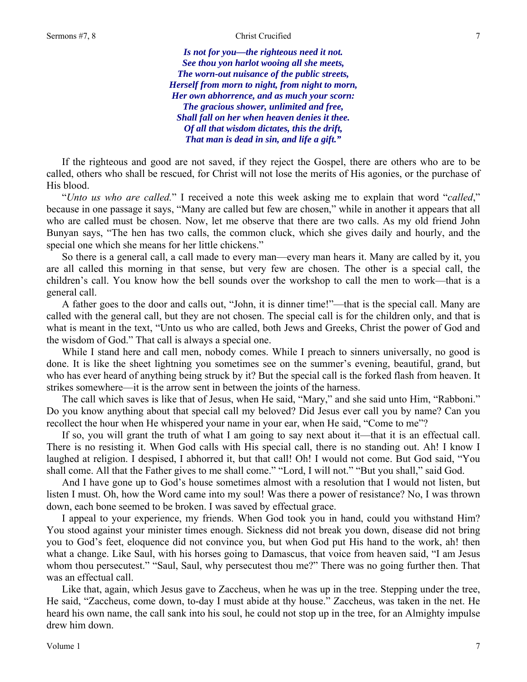*Is not for you—the righteous need it not. See thou yon harlot wooing all she meets, The worn-out nuisance of the public streets, Herself from morn to night, from night to morn, Her own abhorrence, and as much your scorn: The gracious shower, unlimited and free, Shall fall on her when heaven denies it thee. Of all that wisdom dictates, this the drift, That man is dead in sin, and life a gift."* 

If the righteous and good are not saved, if they reject the Gospel, there are others who are to be called, others who shall be rescued, for Christ will not lose the merits of His agonies, or the purchase of His blood.

"*Unto us who are called.*" I received a note this week asking me to explain that word "*called*," because in one passage it says, "Many are called but few are chosen," while in another it appears that all who are called must be chosen. Now, let me observe that there are two calls. As my old friend John Bunyan says, "The hen has two calls, the common cluck, which she gives daily and hourly, and the special one which she means for her little chickens."

So there is a general call, a call made to every man—every man hears it. Many are called by it, you are all called this morning in that sense, but very few are chosen. The other is a special call, the children's call. You know how the bell sounds over the workshop to call the men to work—that is a general call.

A father goes to the door and calls out, "John, it is dinner time!"—that is the special call. Many are called with the general call, but they are not chosen. The special call is for the children only, and that is what is meant in the text, "Unto us who are called, both Jews and Greeks, Christ the power of God and the wisdom of God." That call is always a special one.

While I stand here and call men, nobody comes. While I preach to sinners universally, no good is done. It is like the sheet lightning you sometimes see on the summer's evening, beautiful, grand, but who has ever heard of anything being struck by it? But the special call is the forked flash from heaven. It strikes somewhere—it is the arrow sent in between the joints of the harness.

The call which saves is like that of Jesus, when He said, "Mary," and she said unto Him, "Rabboni." Do you know anything about that special call my beloved? Did Jesus ever call you by name? Can you recollect the hour when He whispered your name in your ear, when He said, "Come to me"?

If so, you will grant the truth of what I am going to say next about it—that it is an effectual call. There is no resisting it. When God calls with His special call, there is no standing out. Ah! I know I laughed at religion. I despised, I abhorred it, but that call! Oh! I would not come. But God said, "You shall come. All that the Father gives to me shall come." "Lord, I will not." "But you shall," said God.

And I have gone up to God's house sometimes almost with a resolution that I would not listen, but listen I must. Oh, how the Word came into my soul! Was there a power of resistance? No, I was thrown down, each bone seemed to be broken. I was saved by effectual grace.

I appeal to your experience, my friends. When God took you in hand, could you withstand Him? You stood against your minister times enough. Sickness did not break you down, disease did not bring you to God's feet, eloquence did not convince you, but when God put His hand to the work, ah! then what a change. Like Saul, with his horses going to Damascus, that voice from heaven said, "I am Jesus whom thou persecutest." "Saul, Saul, why persecutest thou me?" There was no going further then. That was an effectual call.

Like that, again, which Jesus gave to Zaccheus, when he was up in the tree. Stepping under the tree, He said, "Zaccheus, come down, to-day I must abide at thy house." Zaccheus, was taken in the net. He heard his own name, the call sank into his soul, he could not stop up in the tree, for an Almighty impulse drew him down.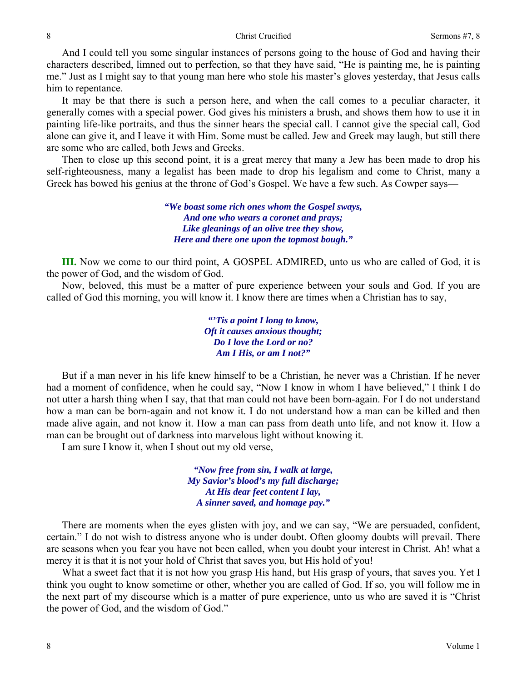And I could tell you some singular instances of persons going to the house of God and having their characters described, limned out to perfection, so that they have said, "He is painting me, he is painting me." Just as I might say to that young man here who stole his master's gloves yesterday, that Jesus calls him to repentance.

It may be that there is such a person here, and when the call comes to a peculiar character, it generally comes with a special power. God gives his ministers a brush, and shows them how to use it in painting life-like portraits, and thus the sinner hears the special call. I cannot give the special call, God alone can give it, and I leave it with Him. Some must be called. Jew and Greek may laugh, but still there are some who are called, both Jews and Greeks.

Then to close up this second point, it is a great mercy that many a Jew has been made to drop his self-righteousness, many a legalist has been made to drop his legalism and come to Christ, many a Greek has bowed his genius at the throne of God's Gospel. We have a few such. As Cowper says—

> *"We boast some rich ones whom the Gospel sways, And one who wears a coronet and prays; Like gleanings of an olive tree they show, Here and there one upon the topmost bough."*

**III.** Now we come to our third point, A GOSPEL ADMIRED, unto us who are called of God, it is the power of God, and the wisdom of God.

Now, beloved, this must be a matter of pure experience between your souls and God. If you are called of God this morning, you will know it. I know there are times when a Christian has to say,

> *"'Tis a point I long to know, Oft it causes anxious thought; Do I love the Lord or no? Am I His, or am I not?"*

But if a man never in his life knew himself to be a Christian, he never was a Christian. If he never had a moment of confidence, when he could say, "Now I know in whom I have believed," I think I do not utter a harsh thing when I say, that that man could not have been born-again. For I do not understand how a man can be born-again and not know it. I do not understand how a man can be killed and then made alive again, and not know it. How a man can pass from death unto life, and not know it. How a man can be brought out of darkness into marvelous light without knowing it.

I am sure I know it, when I shout out my old verse,

*"Now free from sin, I walk at large, My Savior's blood's my full discharge; At His dear feet content I lay, A sinner saved, and homage pay."* 

There are moments when the eyes glisten with joy, and we can say, "We are persuaded, confident, certain." I do not wish to distress anyone who is under doubt. Often gloomy doubts will prevail. There are seasons when you fear you have not been called, when you doubt your interest in Christ. Ah! what a mercy it is that it is not your hold of Christ that saves you, but His hold of you!

What a sweet fact that it is not how you grasp His hand, but His grasp of yours, that saves you. Yet I think you ought to know sometime or other, whether you are called of God. If so, you will follow me in the next part of my discourse which is a matter of pure experience, unto us who are saved it is "Christ the power of God, and the wisdom of God."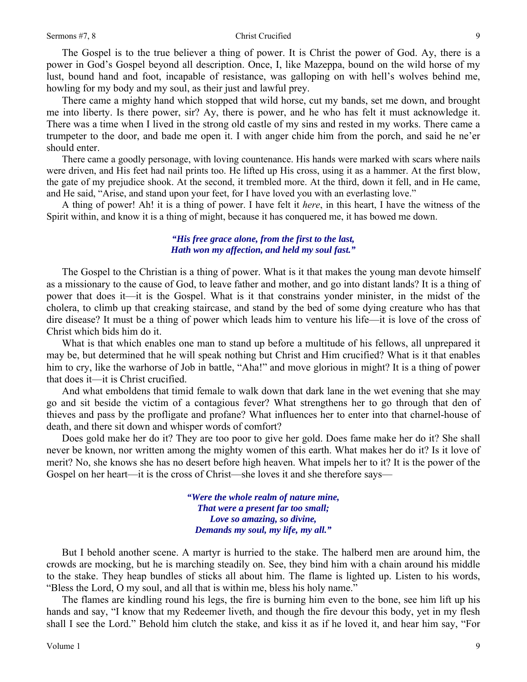The Gospel is to the true believer a thing of power. It is Christ the power of God. Ay, there is a power in God's Gospel beyond all description. Once, I, like Mazeppa, bound on the wild horse of my lust, bound hand and foot, incapable of resistance, was galloping on with hell's wolves behind me, howling for my body and my soul, as their just and lawful prey.

There came a mighty hand which stopped that wild horse, cut my bands, set me down, and brought me into liberty. Is there power, sir? Ay, there is power, and he who has felt it must acknowledge it. There was a time when I lived in the strong old castle of my sins and rested in my works. There came a trumpeter to the door, and bade me open it. I with anger chide him from the porch, and said he ne'er should enter.

There came a goodly personage, with loving countenance. His hands were marked with scars where nails were driven, and His feet had nail prints too. He lifted up His cross, using it as a hammer. At the first blow, the gate of my prejudice shook. At the second, it trembled more. At the third, down it fell, and in He came, and He said, "Arise, and stand upon your feet, for I have loved you with an everlasting love."

A thing of power! Ah! it is a thing of power. I have felt it *here*, in this heart, I have the witness of the Spirit within, and know it is a thing of might, because it has conquered me, it has bowed me down.

## *"His free grace alone, from the first to the last, Hath won my affection, and held my soul fast."*

The Gospel to the Christian is a thing of power. What is it that makes the young man devote himself as a missionary to the cause of God, to leave father and mother, and go into distant lands? It is a thing of power that does it—it is the Gospel. What is it that constrains yonder minister, in the midst of the cholera, to climb up that creaking staircase, and stand by the bed of some dying creature who has that dire disease? It must be a thing of power which leads him to venture his life—it is love of the cross of Christ which bids him do it.

What is that which enables one man to stand up before a multitude of his fellows, all unprepared it may be, but determined that he will speak nothing but Christ and Him crucified? What is it that enables him to cry, like the warhorse of Job in battle, "Aha!" and move glorious in might? It is a thing of power that does it—it is Christ crucified.

And what emboldens that timid female to walk down that dark lane in the wet evening that she may go and sit beside the victim of a contagious fever? What strengthens her to go through that den of thieves and pass by the profligate and profane? What influences her to enter into that charnel-house of death, and there sit down and whisper words of comfort?

Does gold make her do it? They are too poor to give her gold. Does fame make her do it? She shall never be known, nor written among the mighty women of this earth. What makes her do it? Is it love of merit? No, she knows she has no desert before high heaven. What impels her to it? It is the power of the Gospel on her heart—it is the cross of Christ—she loves it and she therefore says—

> *"Were the whole realm of nature mine, That were a present far too small; Love so amazing, so divine, Demands my soul, my life, my all."*

But I behold another scene. A martyr is hurried to the stake. The halberd men are around him, the crowds are mocking, but he is marching steadily on. See, they bind him with a chain around his middle to the stake. They heap bundles of sticks all about him. The flame is lighted up. Listen to his words, "Bless the Lord, O my soul, and all that is within me, bless his holy name."

The flames are kindling round his legs, the fire is burning him even to the bone, see him lift up his hands and say, "I know that my Redeemer liveth, and though the fire devour this body, yet in my flesh shall I see the Lord." Behold him clutch the stake, and kiss it as if he loved it, and hear him say, "For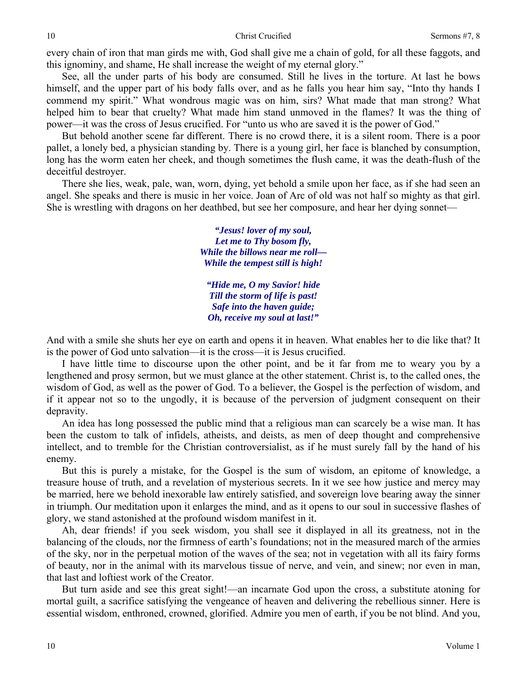every chain of iron that man girds me with, God shall give me a chain of gold, for all these faggots, and this ignominy, and shame, He shall increase the weight of my eternal glory."

See, all the under parts of his body are consumed. Still he lives in the torture. At last he bows himself, and the upper part of his body falls over, and as he falls you hear him say, "Into thy hands I commend my spirit." What wondrous magic was on him, sirs? What made that man strong? What helped him to bear that cruelty? What made him stand unmoved in the flames? It was the thing of power—it was the cross of Jesus crucified. For "unto us who are saved it is the power of God."

But behold another scene far different. There is no crowd there, it is a silent room. There is a poor pallet, a lonely bed, a physician standing by. There is a young girl, her face is blanched by consumption, long has the worm eaten her cheek, and though sometimes the flush came, it was the death-flush of the deceitful destroyer.

There she lies, weak, pale, wan, worn, dying, yet behold a smile upon her face, as if she had seen an angel. She speaks and there is music in her voice. Joan of Arc of old was not half so mighty as that girl. She is wrestling with dragons on her deathbed, but see her composure, and hear her dying sonnet—

> *"Jesus! lover of my soul, Let me to Thy bosom fly, While the billows near me roll— While the tempest still is high!*

*"Hide me, O my Savior! hide Till the storm of life is past! Safe into the haven guide; Oh, receive my soul at last!"* 

And with a smile she shuts her eye on earth and opens it in heaven. What enables her to die like that? It is the power of God unto salvation—it is the cross—it is Jesus crucified.

I have little time to discourse upon the other point, and be it far from me to weary you by a lengthened and prosy sermon, but we must glance at the other statement. Christ is, to the called ones, the wisdom of God, as well as the power of God. To a believer, the Gospel is the perfection of wisdom, and if it appear not so to the ungodly, it is because of the perversion of judgment consequent on their depravity.

An idea has long possessed the public mind that a religious man can scarcely be a wise man. It has been the custom to talk of infidels, atheists, and deists, as men of deep thought and comprehensive intellect, and to tremble for the Christian controversialist, as if he must surely fall by the hand of his enemy.

But this is purely a mistake, for the Gospel is the sum of wisdom, an epitome of knowledge, a treasure house of truth, and a revelation of mysterious secrets. In it we see how justice and mercy may be married, here we behold inexorable law entirely satisfied, and sovereign love bearing away the sinner in triumph. Our meditation upon it enlarges the mind, and as it opens to our soul in successive flashes of glory, we stand astonished at the profound wisdom manifest in it.

Ah, dear friends! if you seek wisdom, you shall see it displayed in all its greatness, not in the balancing of the clouds, nor the firmness of earth's foundations; not in the measured march of the armies of the sky, nor in the perpetual motion of the waves of the sea; not in vegetation with all its fairy forms of beauty, nor in the animal with its marvelous tissue of nerve, and vein, and sinew; nor even in man, that last and loftiest work of the Creator.

But turn aside and see this great sight!—an incarnate God upon the cross, a substitute atoning for mortal guilt, a sacrifice satisfying the vengeance of heaven and delivering the rebellious sinner. Here is essential wisdom, enthroned, crowned, glorified. Admire you men of earth, if you be not blind. And you,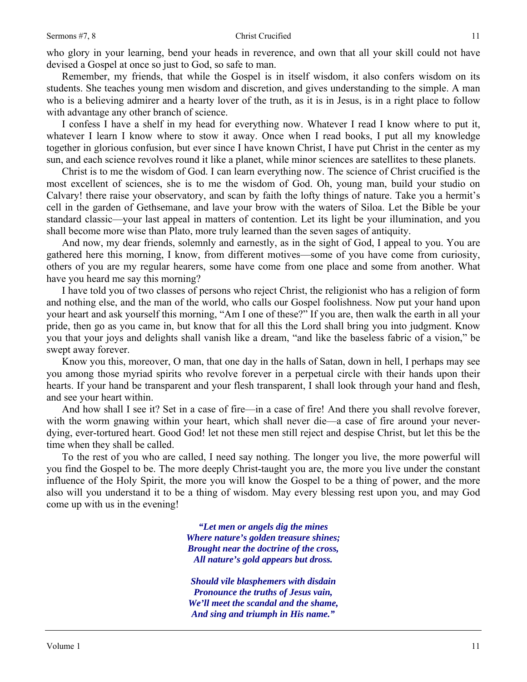who glory in your learning, bend your heads in reverence, and own that all your skill could not have devised a Gospel at once so just to God, so safe to man.

Remember, my friends, that while the Gospel is in itself wisdom, it also confers wisdom on its students. She teaches young men wisdom and discretion, and gives understanding to the simple. A man who is a believing admirer and a hearty lover of the truth, as it is in Jesus, is in a right place to follow with advantage any other branch of science.

I confess I have a shelf in my head for everything now. Whatever I read I know where to put it, whatever I learn I know where to stow it away. Once when I read books, I put all my knowledge together in glorious confusion, but ever since I have known Christ, I have put Christ in the center as my sun, and each science revolves round it like a planet, while minor sciences are satellites to these planets.

Christ is to me the wisdom of God. I can learn everything now. The science of Christ crucified is the most excellent of sciences, she is to me the wisdom of God. Oh, young man, build your studio on Calvary! there raise your observatory, and scan by faith the lofty things of nature. Take you a hermit's cell in the garden of Gethsemane, and lave your brow with the waters of Siloa. Let the Bible be your standard classic—your last appeal in matters of contention. Let its light be your illumination, and you shall become more wise than Plato, more truly learned than the seven sages of antiquity.

And now, my dear friends, solemnly and earnestly, as in the sight of God, I appeal to you. You are gathered here this morning, I know, from different motives—some of you have come from curiosity, others of you are my regular hearers, some have come from one place and some from another. What have you heard me say this morning?

I have told you of two classes of persons who reject Christ, the religionist who has a religion of form and nothing else, and the man of the world, who calls our Gospel foolishness. Now put your hand upon your heart and ask yourself this morning, "Am I one of these?" If you are, then walk the earth in all your pride, then go as you came in, but know that for all this the Lord shall bring you into judgment. Know you that your joys and delights shall vanish like a dream, "and like the baseless fabric of a vision," be swept away forever.

Know you this, moreover, O man, that one day in the halls of Satan, down in hell, I perhaps may see you among those myriad spirits who revolve forever in a perpetual circle with their hands upon their hearts. If your hand be transparent and your flesh transparent, I shall look through your hand and flesh, and see your heart within.

And how shall I see it? Set in a case of fire—in a case of fire! And there you shall revolve forever, with the worm gnawing within your heart, which shall never die—a case of fire around your neverdying, ever-tortured heart. Good God! let not these men still reject and despise Christ, but let this be the time when they shall be called.

To the rest of you who are called, I need say nothing. The longer you live, the more powerful will you find the Gospel to be. The more deeply Christ-taught you are, the more you live under the constant influence of the Holy Spirit, the more you will know the Gospel to be a thing of power, and the more also will you understand it to be a thing of wisdom. May every blessing rest upon you, and may God come up with us in the evening!

> *"Let men or angels dig the mines Where nature's golden treasure shines; Brought near the doctrine of the cross, All nature's gold appears but dross.*

*Should vile blasphemers with disdain Pronounce the truths of Jesus vain, We'll meet the scandal and the shame, And sing and triumph in His name."*